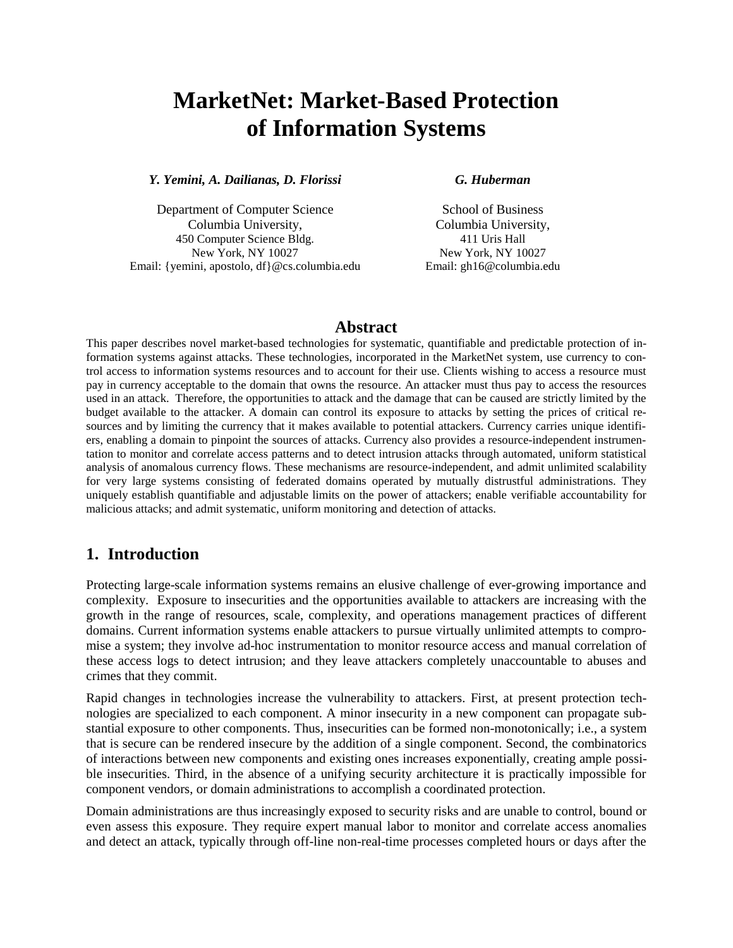# **MarketNet: Market-Based Protection of Information Systems**

*Y. Yemini, A. Dailianas, D. Florissi*

Department of Computer Science Columbia University, 450 Computer Science Bldg. New York, NY 10027 Email: {yemini, apostolo, df}@cs.columbia.edu *G. Huberman*

School of Business Columbia University, 411 Uris Hall New York, NY 10027 Email: gh16@columbia.edu

### **Abstract**

This paper describes novel market-based technologies for systematic, quantifiable and predictable protection of information systems against attacks. These technologies, incorporated in the MarketNet system, use currency to control access to information systems resources and to account for their use. Clients wishing to access a resource must pay in currency acceptable to the domain that owns the resource. An attacker must thus pay to access the resources used in an attack. Therefore, the opportunities to attack and the damage that can be caused are strictly limited by the budget available to the attacker. A domain can control its exposure to attacks by setting the prices of critical resources and by limiting the currency that it makes available to potential attackers. Currency carries unique identifiers, enabling a domain to pinpoint the sources of attacks. Currency also provides a resource-independent instrumentation to monitor and correlate access patterns and to detect intrusion attacks through automated, uniform statistical analysis of anomalous currency flows. These mechanisms are resource-independent, and admit unlimited scalability for very large systems consisting of federated domains operated by mutually distrustful administrations. They uniquely establish quantifiable and adjustable limits on the power of attackers; enable verifiable accountability for malicious attacks; and admit systematic, uniform monitoring and detection of attacks.

## **1. Introduction**

Protecting large-scale information systems remains an elusive challenge of ever-growing importance and complexity. Exposure to insecurities and the opportunities available to attackers are increasing with the growth in the range of resources, scale, complexity, and operations management practices of different domains. Current information systems enable attackers to pursue virtually unlimited attempts to compromise a system; they involve ad-hoc instrumentation to monitor resource access and manual correlation of these access logs to detect intrusion; and they leave attackers completely unaccountable to abuses and crimes that they commit.

Rapid changes in technologies increase the vulnerability to attackers. First, at present protection technologies are specialized to each component. A minor insecurity in a new component can propagate substantial exposure to other components. Thus, insecurities can be formed non-monotonically; i.e., a system that is secure can be rendered insecure by the addition of a single component. Second, the combinatorics of interactions between new components and existing ones increases exponentially, creating ample possible insecurities. Third, in the absence of a unifying security architecture it is practically impossible for component vendors, or domain administrations to accomplish a coordinated protection.

Domain administrations are thus increasingly exposed to security risks and are unable to control, bound or even assess this exposure. They require expert manual labor to monitor and correlate access anomalies and detect an attack, typically through off-line non-real-time processes completed hours or days after the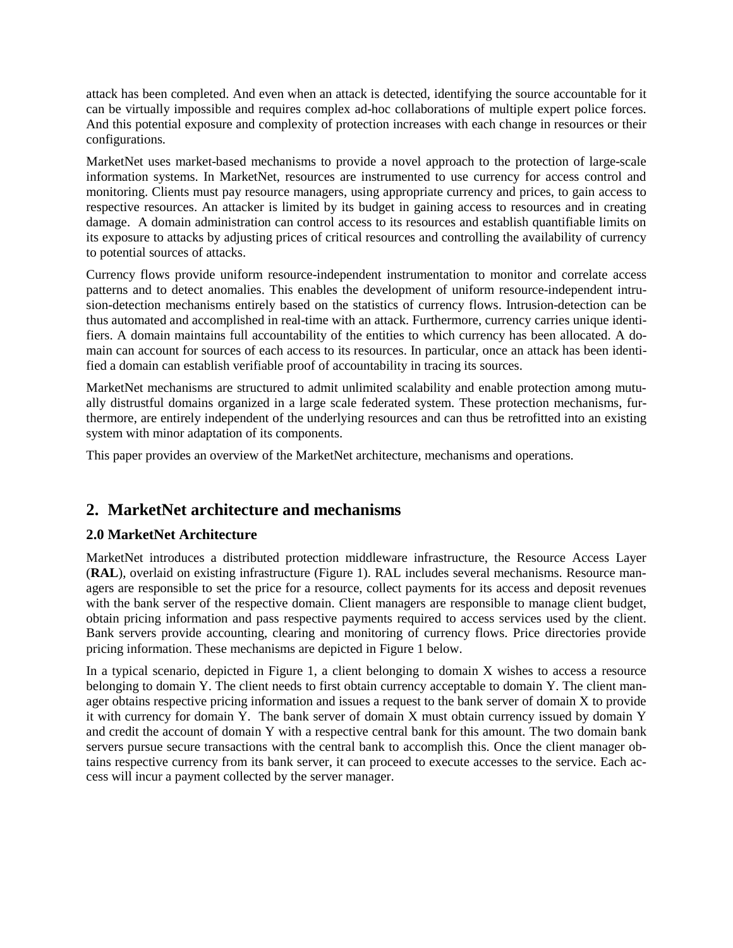attack has been completed. And even when an attack is detected, identifying the source accountable for it can be virtually impossible and requires complex ad-hoc collaborations of multiple expert police forces. And this potential exposure and complexity of protection increases with each change in resources or their configurations.

MarketNet uses market-based mechanisms to provide a novel approach to the protection of large-scale information systems. In MarketNet, resources are instrumented to use currency for access control and monitoring. Clients must pay resource managers, using appropriate currency and prices, to gain access to respective resources. An attacker is limited by its budget in gaining access to resources and in creating damage. A domain administration can control access to its resources and establish quantifiable limits on its exposure to attacks by adjusting prices of critical resources and controlling the availability of currency to potential sources of attacks.

Currency flows provide uniform resource-independent instrumentation to monitor and correlate access patterns and to detect anomalies. This enables the development of uniform resource-independent intrusion-detection mechanisms entirely based on the statistics of currency flows. Intrusion-detection can be thus automated and accomplished in real-time with an attack. Furthermore, currency carries unique identifiers. A domain maintains full accountability of the entities to which currency has been allocated. A domain can account for sources of each access to its resources. In particular, once an attack has been identified a domain can establish verifiable proof of accountability in tracing its sources.

MarketNet mechanisms are structured to admit unlimited scalability and enable protection among mutually distrustful domains organized in a large scale federated system. These protection mechanisms, furthermore, are entirely independent of the underlying resources and can thus be retrofitted into an existing system with minor adaptation of its components.

This paper provides an overview of the MarketNet architecture, mechanisms and operations.

# **2. MarketNet architecture and mechanisms**

#### **2.0 MarketNet Architecture**

MarketNet introduces a distributed protection middleware infrastructure, the Resource Access Layer (**RAL**), overlaid on existing infrastructure (Figure 1). RAL includes several mechanisms. Resource managers are responsible to set the price for a resource, collect payments for its access and deposit revenues with the bank server of the respective domain. Client managers are responsible to manage client budget, obtain pricing information and pass respective payments required to access services used by the client. Bank servers provide accounting, clearing and monitoring of currency flows. Price directories provide pricing information. These mechanisms are depicted in Figure 1 below.

In a typical scenario, depicted in Figure 1, a client belonging to domain X wishes to access a resource belonging to domain Y. The client needs to first obtain currency acceptable to domain Y. The client manager obtains respective pricing information and issues a request to the bank server of domain X to provide it with currency for domain Y. The bank server of domain X must obtain currency issued by domain Y and credit the account of domain Y with a respective central bank for this amount. The two domain bank servers pursue secure transactions with the central bank to accomplish this. Once the client manager obtains respective currency from its bank server, it can proceed to execute accesses to the service. Each access will incur a payment collected by the server manager.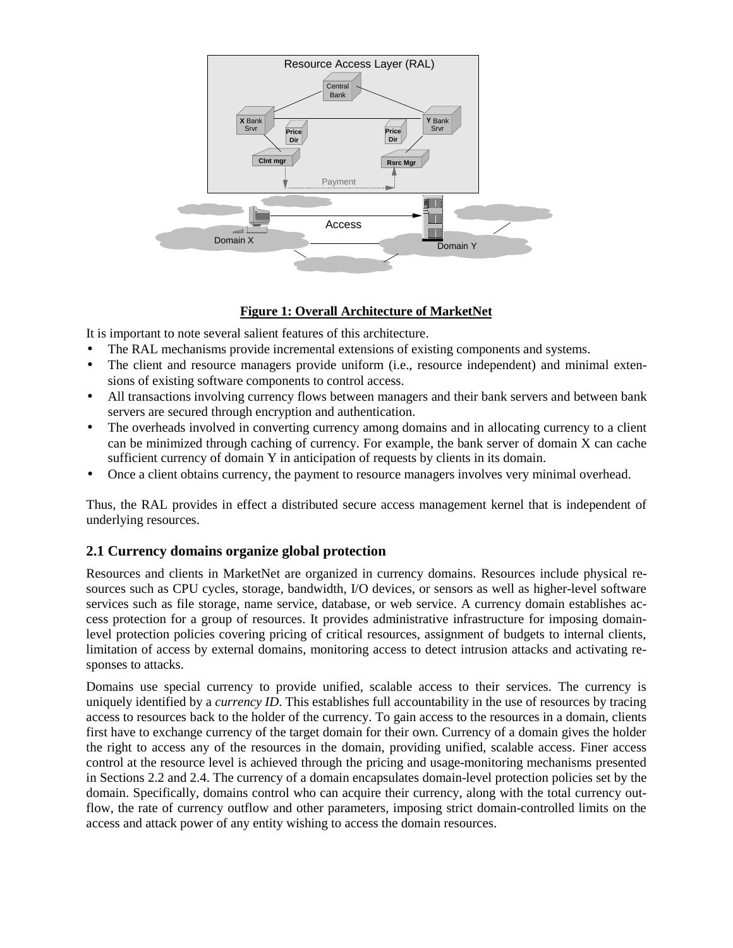

#### **Figure 1: Overall Architecture of MarketNet**

It is important to note several salient features of this architecture.

- The RAL mechanisms provide incremental extensions of existing components and systems.
- The client and resource managers provide uniform (i.e., resource independent) and minimal extensions of existing software components to control access.
- All transactions involving currency flows between managers and their bank servers and between bank servers are secured through encryption and authentication.
- The overheads involved in converting currency among domains and in allocating currency to a client can be minimized through caching of currency. For example, the bank server of domain X can cache sufficient currency of domain Y in anticipation of requests by clients in its domain.
- Once a client obtains currency, the payment to resource managers involves very minimal overhead.

Thus, the RAL provides in effect a distributed secure access management kernel that is independent of underlying resources.

#### **2.1 Currency domains organize global protection**

Resources and clients in MarketNet are organized in currency domains. Resources include physical resources such as CPU cycles, storage, bandwidth, I/O devices, or sensors as well as higher-level software services such as file storage, name service, database, or web service. A currency domain establishes access protection for a group of resources. It provides administrative infrastructure for imposing domainlevel protection policies covering pricing of critical resources, assignment of budgets to internal clients, limitation of access by external domains, monitoring access to detect intrusion attacks and activating responses to attacks.

Domains use special currency to provide unified, scalable access to their services. The currency is uniquely identified by a *currency ID*. This establishes full accountability in the use of resources by tracing access to resources back to the holder of the currency. To gain access to the resources in a domain, clients first have to exchange currency of the target domain for their own. Currency of a domain gives the holder the right to access any of the resources in the domain, providing unified, scalable access. Finer access control at the resource level is achieved through the pricing and usage-monitoring mechanisms presented in Sections 2.2 and 2.4. The currency of a domain encapsulates domain-level protection policies set by the domain. Specifically, domains control who can acquire their currency, along with the total currency outflow, the rate of currency outflow and other parameters, imposing strict domain-controlled limits on the access and attack power of any entity wishing to access the domain resources.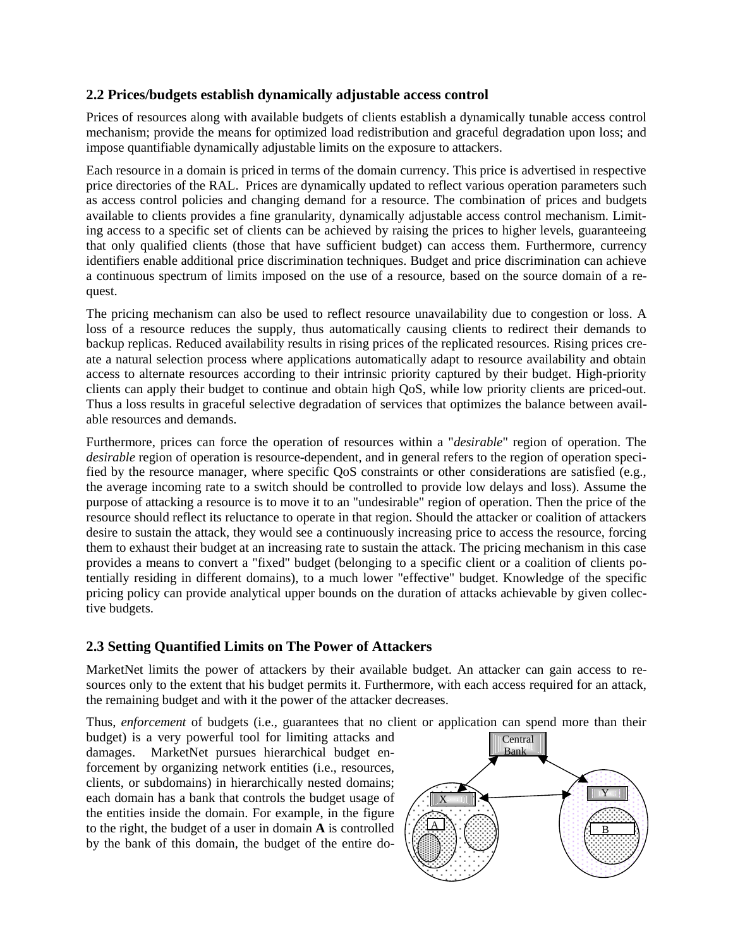#### **2.2 Prices/budgets establish dynamically adjustable access control**

Prices of resources along with available budgets of clients establish a dynamically tunable access control mechanism; provide the means for optimized load redistribution and graceful degradation upon loss; and impose quantifiable dynamically adjustable limits on the exposure to attackers.

Each resource in a domain is priced in terms of the domain currency. This price is advertised in respective price directories of the RAL. Prices are dynamically updated to reflect various operation parameters such as access control policies and changing demand for a resource. The combination of prices and budgets available to clients provides a fine granularity, dynamically adjustable access control mechanism. Limiting access to a specific set of clients can be achieved by raising the prices to higher levels, guaranteeing that only qualified clients (those that have sufficient budget) can access them. Furthermore, currency identifiers enable additional price discrimination techniques. Budget and price discrimination can achieve a continuous spectrum of limits imposed on the use of a resource, based on the source domain of a request.

The pricing mechanism can also be used to reflect resource unavailability due to congestion or loss. A loss of a resource reduces the supply, thus automatically causing clients to redirect their demands to backup replicas. Reduced availability results in rising prices of the replicated resources. Rising prices create a natural selection process where applications automatically adapt to resource availability and obtain access to alternate resources according to their intrinsic priority captured by their budget. High-priority clients can apply their budget to continue and obtain high QoS, while low priority clients are priced-out. Thus a loss results in graceful selective degradation of services that optimizes the balance between available resources and demands.

Furthermore, prices can force the operation of resources within a "*desirable*" region of operation. The *desirable* region of operation is resource-dependent, and in general refers to the region of operation specified by the resource manager, where specific QoS constraints or other considerations are satisfied (e.g., the average incoming rate to a switch should be controlled to provide low delays and loss). Assume the purpose of attacking a resource is to move it to an "undesirable" region of operation. Then the price of the resource should reflect its reluctance to operate in that region. Should the attacker or coalition of attackers desire to sustain the attack, they would see a continuously increasing price to access the resource, forcing them to exhaust their budget at an increasing rate to sustain the attack. The pricing mechanism in this case provides a means to convert a "fixed" budget (belonging to a specific client or a coalition of clients potentially residing in different domains), to a much lower "effective" budget. Knowledge of the specific pricing policy can provide analytical upper bounds on the duration of attacks achievable by given collective budgets.

#### **2.3 Setting Quantified Limits on The Power of Attackers**

MarketNet limits the power of attackers by their available budget. An attacker can gain access to resources only to the extent that his budget permits it. Furthermore, with each access required for an attack, the remaining budget and with it the power of the attacker decreases.

Thus, *enforcement* of budgets (i.e., guarantees that no client or application can spend more than their

budget) is a very powerful tool for limiting attacks and damages. MarketNet pursues hierarchical budget enforcement by organizing network entities (i.e., resources, clients, or subdomains) in hierarchically nested domains; each domain has a bank that controls the budget usage of the entities inside the domain. For example, in the figure to the right, the budget of a user in domain **A** is controlled by the bank of this domain, the budget of the entire do-

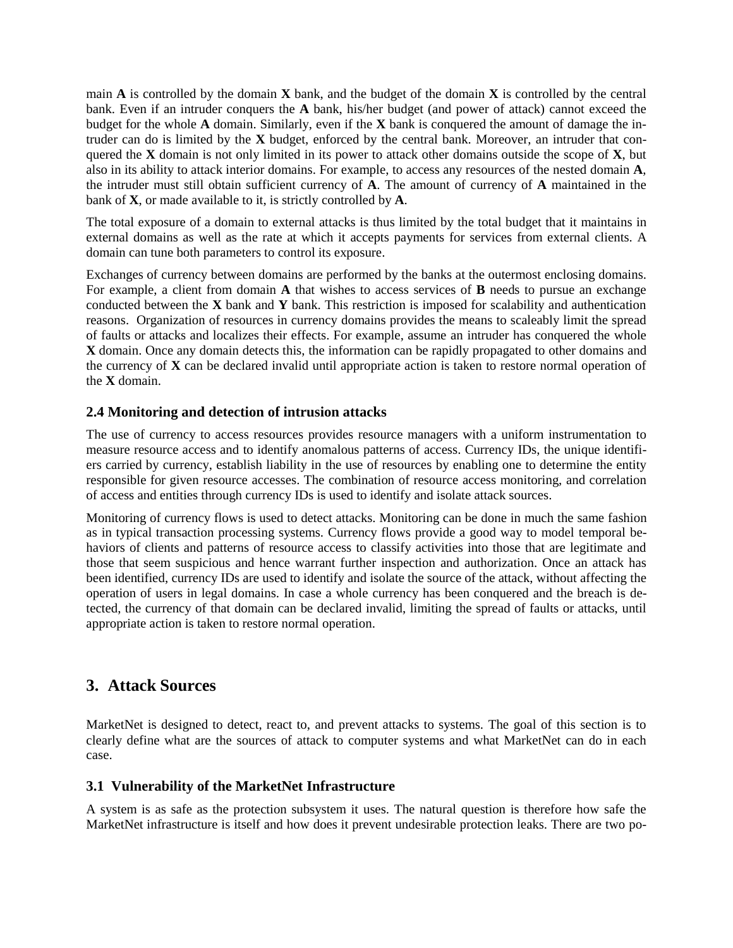main **A** is controlled by the domain **X** bank, and the budget of the domain **X** is controlled by the central bank. Even if an intruder conquers the **A** bank, his/her budget (and power of attack) cannot exceed the budget for the whole **A** domain. Similarly, even if the **X** bank is conquered the amount of damage the intruder can do is limited by the **X** budget, enforced by the central bank. Moreover, an intruder that conquered the **X** domain is not only limited in its power to attack other domains outside the scope of **X**, but also in its ability to attack interior domains. For example, to access any resources of the nested domain **A**, the intruder must still obtain sufficient currency of **A**. The amount of currency of **A** maintained in the bank of **X**, or made available to it, is strictly controlled by **A**.

The total exposure of a domain to external attacks is thus limited by the total budget that it maintains in external domains as well as the rate at which it accepts payments for services from external clients. A domain can tune both parameters to control its exposure.

Exchanges of currency between domains are performed by the banks at the outermost enclosing domains. For example, a client from domain **A** that wishes to access services of **B** needs to pursue an exchange conducted between the **X** bank and **Y** bank. This restriction is imposed for scalability and authentication reasons. Organization of resources in currency domains provides the means to scaleably limit the spread of faults or attacks and localizes their effects. For example, assume an intruder has conquered the whole **X** domain. Once any domain detects this, the information can be rapidly propagated to other domains and the currency of **X** can be declared invalid until appropriate action is taken to restore normal operation of the **X** domain.

#### **2.4 Monitoring and detection of intrusion attacks**

The use of currency to access resources provides resource managers with a uniform instrumentation to measure resource access and to identify anomalous patterns of access. Currency IDs, the unique identifiers carried by currency, establish liability in the use of resources by enabling one to determine the entity responsible for given resource accesses. The combination of resource access monitoring, and correlation of access and entities through currency IDs is used to identify and isolate attack sources.

Monitoring of currency flows is used to detect attacks. Monitoring can be done in much the same fashion as in typical transaction processing systems. Currency flows provide a good way to model temporal behaviors of clients and patterns of resource access to classify activities into those that are legitimate and those that seem suspicious and hence warrant further inspection and authorization. Once an attack has been identified, currency IDs are used to identify and isolate the source of the attack, without affecting the operation of users in legal domains. In case a whole currency has been conquered and the breach is detected, the currency of that domain can be declared invalid, limiting the spread of faults or attacks, until appropriate action is taken to restore normal operation.

## **3. Attack Sources**

MarketNet is designed to detect, react to, and prevent attacks to systems. The goal of this section is to clearly define what are the sources of attack to computer systems and what MarketNet can do in each case.

#### **3.1 Vulnerability of the MarketNet Infrastructure**

A system is as safe as the protection subsystem it uses. The natural question is therefore how safe the MarketNet infrastructure is itself and how does it prevent undesirable protection leaks. There are two po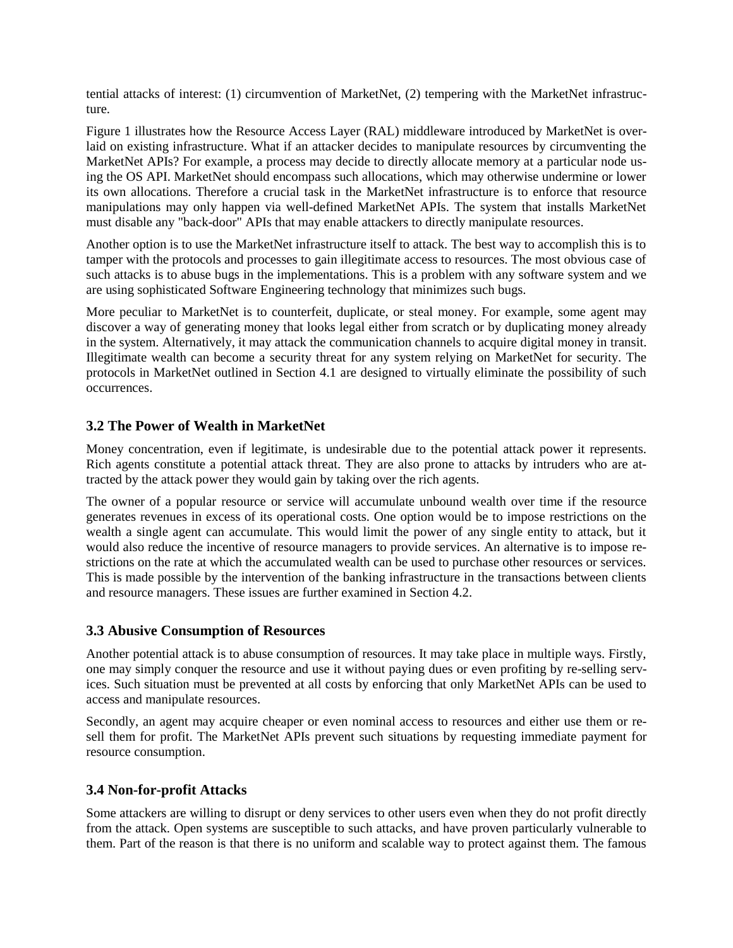tential attacks of interest: (1) circumvention of MarketNet, (2) tempering with the MarketNet infrastructure.

Figure 1 illustrates how the Resource Access Layer (RAL) middleware introduced by MarketNet is overlaid on existing infrastructure. What if an attacker decides to manipulate resources by circumventing the MarketNet APIs? For example, a process may decide to directly allocate memory at a particular node using the OS API. MarketNet should encompass such allocations, which may otherwise undermine or lower its own allocations. Therefore a crucial task in the MarketNet infrastructure is to enforce that resource manipulations may only happen via well-defined MarketNet APIs. The system that installs MarketNet must disable any "back-door" APIs that may enable attackers to directly manipulate resources.

Another option is to use the MarketNet infrastructure itself to attack. The best way to accomplish this is to tamper with the protocols and processes to gain illegitimate access to resources. The most obvious case of such attacks is to abuse bugs in the implementations. This is a problem with any software system and we are using sophisticated Software Engineering technology that minimizes such bugs.

More peculiar to MarketNet is to counterfeit, duplicate, or steal money. For example, some agent may discover a way of generating money that looks legal either from scratch or by duplicating money already in the system. Alternatively, it may attack the communication channels to acquire digital money in transit. Illegitimate wealth can become a security threat for any system relying on MarketNet for security. The protocols in MarketNet outlined in Section 4.1 are designed to virtually eliminate the possibility of such occurrences.

#### **3.2 The Power of Wealth in MarketNet**

Money concentration, even if legitimate, is undesirable due to the potential attack power it represents. Rich agents constitute a potential attack threat. They are also prone to attacks by intruders who are attracted by the attack power they would gain by taking over the rich agents.

The owner of a popular resource or service will accumulate unbound wealth over time if the resource generates revenues in excess of its operational costs. One option would be to impose restrictions on the wealth a single agent can accumulate. This would limit the power of any single entity to attack, but it would also reduce the incentive of resource managers to provide services. An alternative is to impose restrictions on the rate at which the accumulated wealth can be used to purchase other resources or services. This is made possible by the intervention of the banking infrastructure in the transactions between clients and resource managers. These issues are further examined in Section 4.2.

#### **3.3 Abusive Consumption of Resources**

Another potential attack is to abuse consumption of resources. It may take place in multiple ways. Firstly, one may simply conquer the resource and use it without paying dues or even profiting by re-selling services. Such situation must be prevented at all costs by enforcing that only MarketNet APIs can be used to access and manipulate resources.

Secondly, an agent may acquire cheaper or even nominal access to resources and either use them or resell them for profit. The MarketNet APIs prevent such situations by requesting immediate payment for resource consumption.

#### **3.4 Non-for-profit Attacks**

Some attackers are willing to disrupt or deny services to other users even when they do not profit directly from the attack. Open systems are susceptible to such attacks, and have proven particularly vulnerable to them. Part of the reason is that there is no uniform and scalable way to protect against them. The famous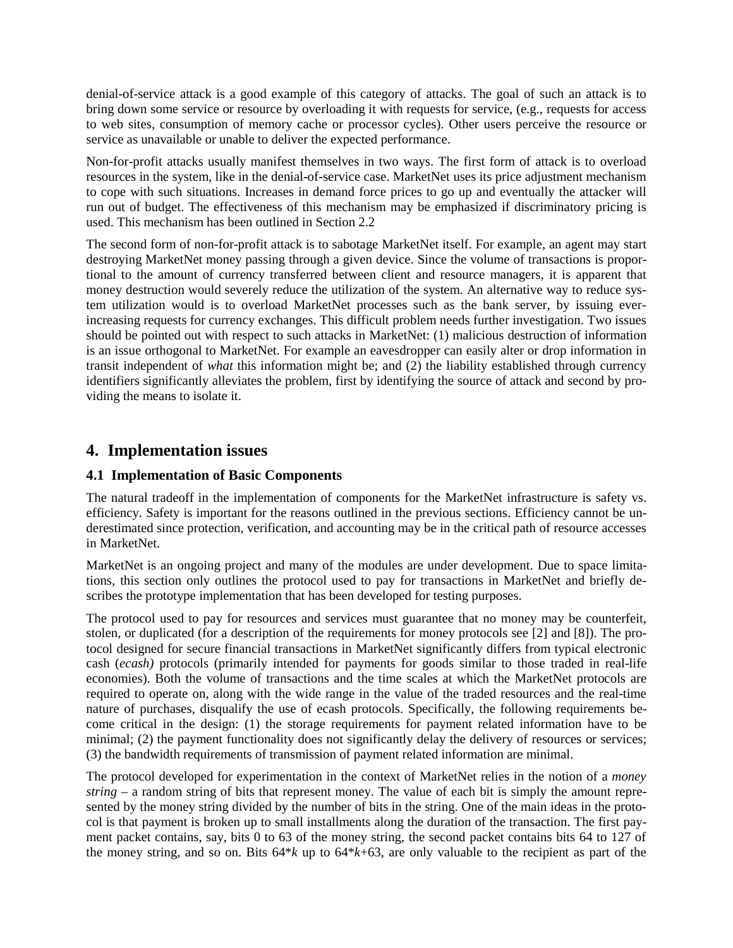denial-of-service attack is a good example of this category of attacks. The goal of such an attack is to bring down some service or resource by overloading it with requests for service, (e.g., requests for access to web sites, consumption of memory cache or processor cycles). Other users perceive the resource or service as unavailable or unable to deliver the expected performance.

Non-for-profit attacks usually manifest themselves in two ways. The first form of attack is to overload resources in the system, like in the denial-of-service case. MarketNet uses its price adjustment mechanism to cope with such situations. Increases in demand force prices to go up and eventually the attacker will run out of budget. The effectiveness of this mechanism may be emphasized if discriminatory pricing is used. This mechanism has been outlined in Section 2.2

The second form of non-for-profit attack is to sabotage MarketNet itself. For example, an agent may start destroying MarketNet money passing through a given device. Since the volume of transactions is proportional to the amount of currency transferred between client and resource managers, it is apparent that money destruction would severely reduce the utilization of the system. An alternative way to reduce system utilization would is to overload MarketNet processes such as the bank server, by issuing everincreasing requests for currency exchanges. This difficult problem needs further investigation. Two issues should be pointed out with respect to such attacks in MarketNet: (1) malicious destruction of information is an issue orthogonal to MarketNet. For example an eavesdropper can easily alter or drop information in transit independent of *what* this information might be; and (2) the liability established through currency identifiers significantly alleviates the problem, first by identifying the source of attack and second by providing the means to isolate it.

## **4. Implementation issues**

#### **4.1 Implementation of Basic Components**

The natural tradeoff in the implementation of components for the MarketNet infrastructure is safety vs. efficiency. Safety is important for the reasons outlined in the previous sections. Efficiency cannot be underestimated since protection, verification, and accounting may be in the critical path of resource accesses in MarketNet.

MarketNet is an ongoing project and many of the modules are under development. Due to space limitations, this section only outlines the protocol used to pay for transactions in MarketNet and briefly describes the prototype implementation that has been developed for testing purposes.

The protocol used to pay for resources and services must guarantee that no money may be counterfeit, stolen, or duplicated (for a description of the requirements for money protocols see [2] and [8]). The protocol designed for secure financial transactions in MarketNet significantly differs from typical electronic cash (*ecash)* protocols (primarily intended for payments for goods similar to those traded in real-life economies). Both the volume of transactions and the time scales at which the MarketNet protocols are required to operate on, along with the wide range in the value of the traded resources and the real-time nature of purchases, disqualify the use of ecash protocols. Specifically, the following requirements become critical in the design: (1) the storage requirements for payment related information have to be minimal; (2) the payment functionality does not significantly delay the delivery of resources or services; (3) the bandwidth requirements of transmission of payment related information are minimal.

The protocol developed for experimentation in the context of MarketNet relies in the notion of a *money string* – a random string of bits that represent money. The value of each bit is simply the amount represented by the money string divided by the number of bits in the string. One of the main ideas in the protocol is that payment is broken up to small installments along the duration of the transaction. The first payment packet contains, say, bits 0 to 63 of the money string, the second packet contains bits 64 to 127 of the money string, and so on. Bits 64\**k* up to 64\**k*+63, are only valuable to the recipient as part of the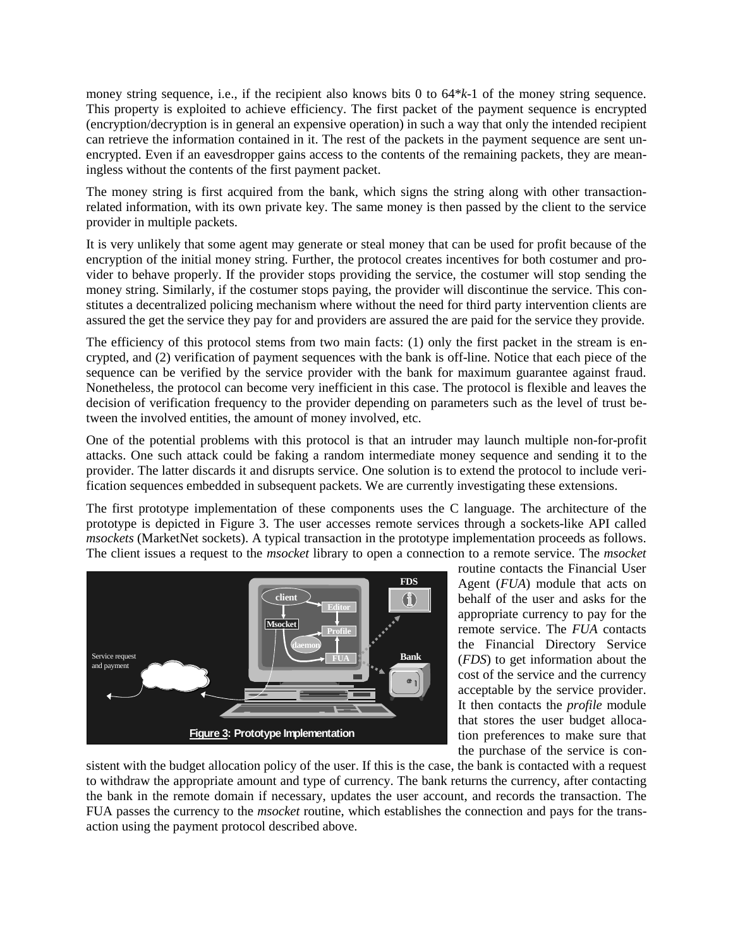money string sequence, i.e., if the recipient also knows bits 0 to 64\**k*-1 of the money string sequence. This property is exploited to achieve efficiency. The first packet of the payment sequence is encrypted (encryption/decryption is in general an expensive operation) in such a way that only the intended recipient can retrieve the information contained in it. The rest of the packets in the payment sequence are sent unencrypted. Even if an eavesdropper gains access to the contents of the remaining packets, they are meaningless without the contents of the first payment packet.

The money string is first acquired from the bank, which signs the string along with other transactionrelated information, with its own private key. The same money is then passed by the client to the service provider in multiple packets.

It is very unlikely that some agent may generate or steal money that can be used for profit because of the encryption of the initial money string. Further, the protocol creates incentives for both costumer and provider to behave properly. If the provider stops providing the service, the costumer will stop sending the money string. Similarly, if the costumer stops paying, the provider will discontinue the service. This constitutes a decentralized policing mechanism where without the need for third party intervention clients are assured the get the service they pay for and providers are assured the are paid for the service they provide.

The efficiency of this protocol stems from two main facts: (1) only the first packet in the stream is encrypted, and (2) verification of payment sequences with the bank is off-line. Notice that each piece of the sequence can be verified by the service provider with the bank for maximum guarantee against fraud. Nonetheless, the protocol can become very inefficient in this case. The protocol is flexible and leaves the decision of verification frequency to the provider depending on parameters such as the level of trust between the involved entities, the amount of money involved, etc.

One of the potential problems with this protocol is that an intruder may launch multiple non-for-profit attacks. One such attack could be faking a random intermediate money sequence and sending it to the provider. The latter discards it and disrupts service. One solution is to extend the protocol to include verification sequences embedded in subsequent packets. We are currently investigating these extensions.

The first prototype implementation of these components uses the C language. The architecture of the prototype is depicted in Figure 3. The user accesses remote services through a sockets-like API called *msockets* (MarketNet sockets). A typical transaction in the prototype implementation proceeds as follows. The client issues a request to the *msocket* library to open a connection to a remote service. The *msocket*



routine contacts the Financial User Agent (*FUA*) module that acts on behalf of the user and asks for the appropriate currency to pay for the remote service. The *FUA* contacts the Financial Directory Service (*FDS*) to get information about the cost of the service and the currency acceptable by the service provider. It then contacts the *profile* module that stores the user budget allocation preferences to make sure that the purchase of the service is con-

sistent with the budget allocation policy of the user. If this is the case, the bank is contacted with a request to withdraw the appropriate amount and type of currency. The bank returns the currency, after contacting the bank in the remote domain if necessary, updates the user account, and records the transaction. The FUA passes the currency to the *msocket* routine, which establishes the connection and pays for the transaction using the payment protocol described above.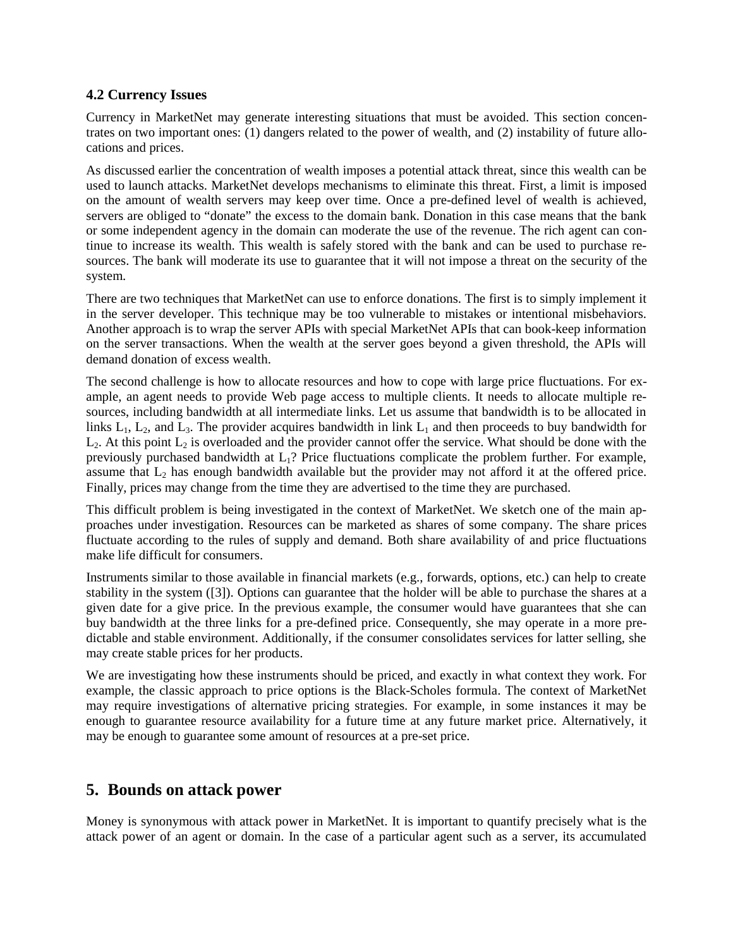#### **4.2 Currency Issues**

Currency in MarketNet may generate interesting situations that must be avoided. This section concentrates on two important ones: (1) dangers related to the power of wealth, and (2) instability of future allocations and prices.

As discussed earlier the concentration of wealth imposes a potential attack threat, since this wealth can be used to launch attacks. MarketNet develops mechanisms to eliminate this threat. First, a limit is imposed on the amount of wealth servers may keep over time. Once a pre-defined level of wealth is achieved, servers are obliged to "donate" the excess to the domain bank. Donation in this case means that the bank or some independent agency in the domain can moderate the use of the revenue. The rich agent can continue to increase its wealth. This wealth is safely stored with the bank and can be used to purchase resources. The bank will moderate its use to guarantee that it will not impose a threat on the security of the system.

There are two techniques that MarketNet can use to enforce donations. The first is to simply implement it in the server developer. This technique may be too vulnerable to mistakes or intentional misbehaviors. Another approach is to wrap the server APIs with special MarketNet APIs that can book-keep information on the server transactions. When the wealth at the server goes beyond a given threshold, the APIs will demand donation of excess wealth.

The second challenge is how to allocate resources and how to cope with large price fluctuations. For example, an agent needs to provide Web page access to multiple clients. It needs to allocate multiple resources, including bandwidth at all intermediate links. Let us assume that bandwidth is to be allocated in links  $L_1$ ,  $L_2$ , and  $L_3$ . The provider acquires bandwidth in link  $L_1$  and then proceeds to buy bandwidth for  $L<sub>2</sub>$ . At this point  $L<sub>2</sub>$  is overloaded and the provider cannot offer the service. What should be done with the previously purchased bandwidth at  $L_1$ ? Price fluctuations complicate the problem further. For example, assume that  $L_2$  has enough bandwidth available but the provider may not afford it at the offered price. Finally, prices may change from the time they are advertised to the time they are purchased.

This difficult problem is being investigated in the context of MarketNet. We sketch one of the main approaches under investigation. Resources can be marketed as shares of some company. The share prices fluctuate according to the rules of supply and demand. Both share availability of and price fluctuations make life difficult for consumers.

Instruments similar to those available in financial markets (e.g., forwards, options, etc.) can help to create stability in the system ([3]). Options can guarantee that the holder will be able to purchase the shares at a given date for a give price. In the previous example, the consumer would have guarantees that she can buy bandwidth at the three links for a pre-defined price. Consequently, she may operate in a more predictable and stable environment. Additionally, if the consumer consolidates services for latter selling, she may create stable prices for her products.

We are investigating how these instruments should be priced, and exactly in what context they work. For example, the classic approach to price options is the Black-Scholes formula. The context of MarketNet may require investigations of alternative pricing strategies. For example, in some instances it may be enough to guarantee resource availability for a future time at any future market price. Alternatively, it may be enough to guarantee some amount of resources at a pre-set price.

#### **5. Bounds on attack power**

Money is synonymous with attack power in MarketNet. It is important to quantify precisely what is the attack power of an agent or domain. In the case of a particular agent such as a server, its accumulated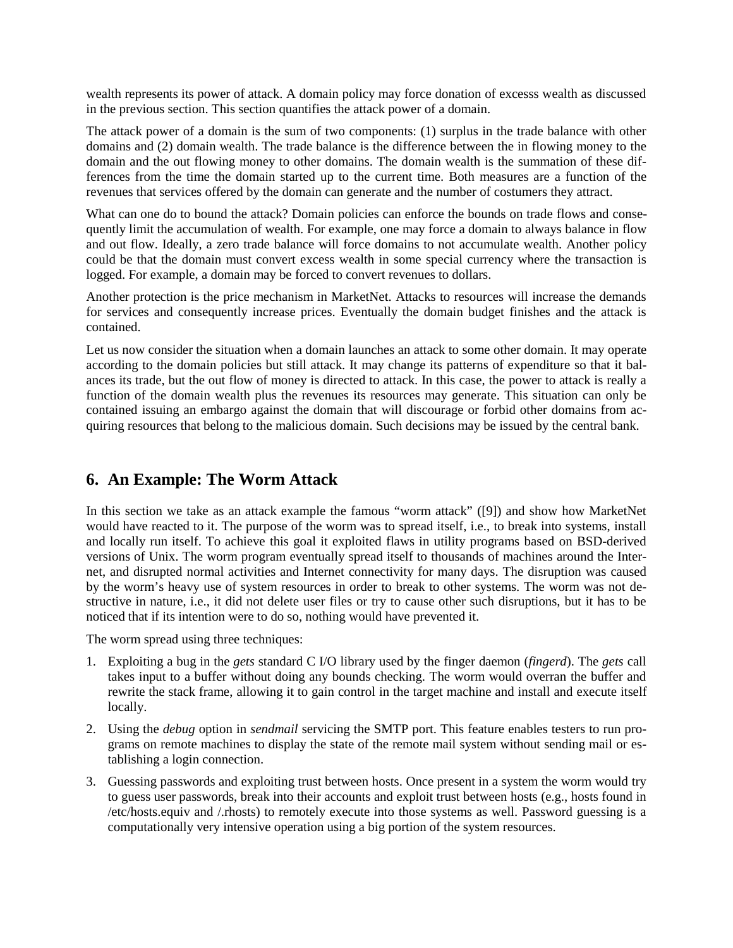wealth represents its power of attack. A domain policy may force donation of excesss wealth as discussed in the previous section. This section quantifies the attack power of a domain.

The attack power of a domain is the sum of two components: (1) surplus in the trade balance with other domains and (2) domain wealth. The trade balance is the difference between the in flowing money to the domain and the out flowing money to other domains. The domain wealth is the summation of these differences from the time the domain started up to the current time. Both measures are a function of the revenues that services offered by the domain can generate and the number of costumers they attract.

What can one do to bound the attack? Domain policies can enforce the bounds on trade flows and consequently limit the accumulation of wealth. For example, one may force a domain to always balance in flow and out flow. Ideally, a zero trade balance will force domains to not accumulate wealth. Another policy could be that the domain must convert excess wealth in some special currency where the transaction is logged. For example, a domain may be forced to convert revenues to dollars.

Another protection is the price mechanism in MarketNet. Attacks to resources will increase the demands for services and consequently increase prices. Eventually the domain budget finishes and the attack is contained.

Let us now consider the situation when a domain launches an attack to some other domain. It may operate according to the domain policies but still attack. It may change its patterns of expenditure so that it balances its trade, but the out flow of money is directed to attack. In this case, the power to attack is really a function of the domain wealth plus the revenues its resources may generate. This situation can only be contained issuing an embargo against the domain that will discourage or forbid other domains from acquiring resources that belong to the malicious domain. Such decisions may be issued by the central bank.

# **6. An Example: The Worm Attack**

In this section we take as an attack example the famous "worm attack" ([9]) and show how MarketNet would have reacted to it. The purpose of the worm was to spread itself, i.e., to break into systems, install and locally run itself. To achieve this goal it exploited flaws in utility programs based on BSD-derived versions of Unix. The worm program eventually spread itself to thousands of machines around the Internet, and disrupted normal activities and Internet connectivity for many days. The disruption was caused by the worm's heavy use of system resources in order to break to other systems. The worm was not destructive in nature, i.e., it did not delete user files or try to cause other such disruptions, but it has to be noticed that if its intention were to do so, nothing would have prevented it.

The worm spread using three techniques:

- 1. Exploiting a bug in the *gets* standard C I/O library used by the finger daemon (*fingerd*). The *gets* call takes input to a buffer without doing any bounds checking. The worm would overran the buffer and rewrite the stack frame, allowing it to gain control in the target machine and install and execute itself locally.
- 2. Using the *debug* option in *sendmail* servicing the SMTP port. This feature enables testers to run programs on remote machines to display the state of the remote mail system without sending mail or establishing a login connection.
- 3. Guessing passwords and exploiting trust between hosts. Once present in a system the worm would try to guess user passwords, break into their accounts and exploit trust between hosts (e.g., hosts found in /etc/hosts.equiv and /.rhosts) to remotely execute into those systems as well. Password guessing is a computationally very intensive operation using a big portion of the system resources.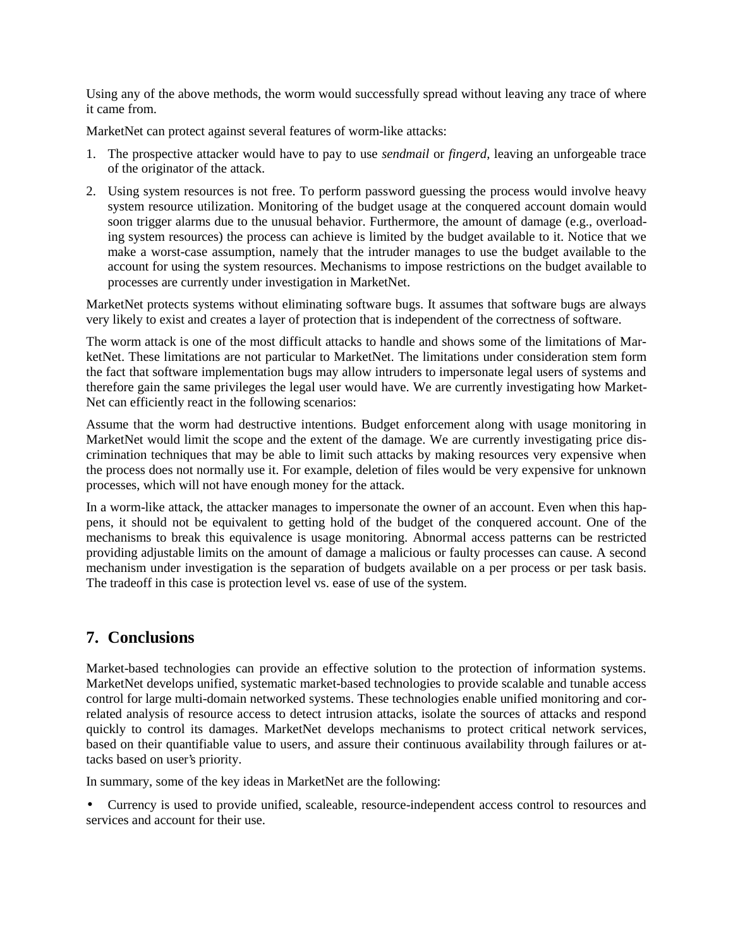Using any of the above methods, the worm would successfully spread without leaving any trace of where it came from.

MarketNet can protect against several features of worm-like attacks:

- 1. The prospective attacker would have to pay to use *sendmail* or *fingerd*, leaving an unforgeable trace of the originator of the attack.
- 2. Using system resources is not free. To perform password guessing the process would involve heavy system resource utilization. Monitoring of the budget usage at the conquered account domain would soon trigger alarms due to the unusual behavior. Furthermore, the amount of damage (e.g., overloading system resources) the process can achieve is limited by the budget available to it. Notice that we make a worst-case assumption, namely that the intruder manages to use the budget available to the account for using the system resources. Mechanisms to impose restrictions on the budget available to processes are currently under investigation in MarketNet.

MarketNet protects systems without eliminating software bugs. It assumes that software bugs are always very likely to exist and creates a layer of protection that is independent of the correctness of software.

The worm attack is one of the most difficult attacks to handle and shows some of the limitations of MarketNet. These limitations are not particular to MarketNet. The limitations under consideration stem form the fact that software implementation bugs may allow intruders to impersonate legal users of systems and therefore gain the same privileges the legal user would have. We are currently investigating how Market-Net can efficiently react in the following scenarios:

Assume that the worm had destructive intentions. Budget enforcement along with usage monitoring in MarketNet would limit the scope and the extent of the damage. We are currently investigating price discrimination techniques that may be able to limit such attacks by making resources very expensive when the process does not normally use it. For example, deletion of files would be very expensive for unknown processes, which will not have enough money for the attack.

In a worm-like attack, the attacker manages to impersonate the owner of an account. Even when this happens, it should not be equivalent to getting hold of the budget of the conquered account. One of the mechanisms to break this equivalence is usage monitoring. Abnormal access patterns can be restricted providing adjustable limits on the amount of damage a malicious or faulty processes can cause. A second mechanism under investigation is the separation of budgets available on a per process or per task basis. The tradeoff in this case is protection level vs. ease of use of the system.

# **7. Conclusions**

Market-based technologies can provide an effective solution to the protection of information systems. MarketNet develops unified, systematic market-based technologies to provide scalable and tunable access control for large multi-domain networked systems. These technologies enable unified monitoring and correlated analysis of resource access to detect intrusion attacks, isolate the sources of attacks and respond quickly to control its damages. MarketNet develops mechanisms to protect critical network services, based on their quantifiable value to users, and assure their continuous availability through failures or attacks based on user's priority.

In summary, some of the key ideas in MarketNet are the following:

• Currency is used to provide unified, scaleable, resource-independent access control to resources and services and account for their use.